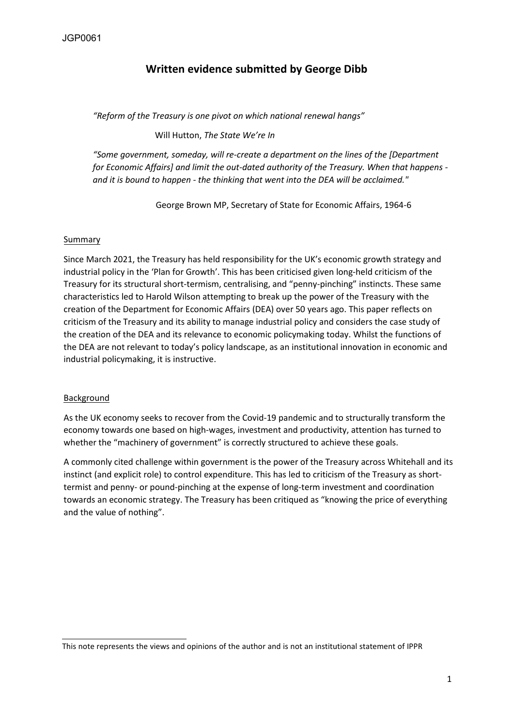# **Written evidence submitted by George Dibb**

*"Reform of the Treasury is one pivot on which national renewal hangs"*

Will Hutton, *The State We're In*

*"Some government, someday, will re-create a department on the lines of the [Department for Economic Affairs] and limit the out-dated authority of the Treasury. When that happens and it is bound to happen - the thinking that went into the DEA will be acclaimed."* 

George Brown MP, Secretary of State for Economic Affairs, 1964-6

#### Summary

Since March 2021, the Treasury has held responsibility for the UK's economic growth strategy and industrial policy in the 'Plan for Growth'. This has been criticised given long-held criticism of the Treasury for its structural short-termism, centralising, and "penny-pinching" instincts. These same characteristics led to Harold Wilson attempting to break up the power of the Treasury with the creation of the Department for Economic Affairs (DEA) over 50 years ago. This paper reflects on criticism of the Treasury and its ability to manage industrial policy and considers the case study of the creation of the DEA and its relevance to economic policymaking today. Whilst the functions of the DEA are not relevant to today's policy landscape, as an institutional innovation in economic and industrial policymaking, it is instructive.

# **Background**

As the UK economy seeks to recover from the Covid-19 pandemic and to structurally transform the economy towards one based on high-wages, investment and productivity, attention has turned to whether the "machinery of government" is correctly structured to achieve these goals.

A commonly cited challenge within government is the power of the Treasury across Whitehall and its instinct (and explicit role) to control expenditure. This has led to criticism of the Treasury as shorttermist and penny- or pound-pinching at the expense of long-term investment and coordination towards an economic strategy. The Treasury has been critiqued as "knowing the price of everything and the value of nothing".

This note represents the views and opinions of the author and is not an institutional statement of IPPR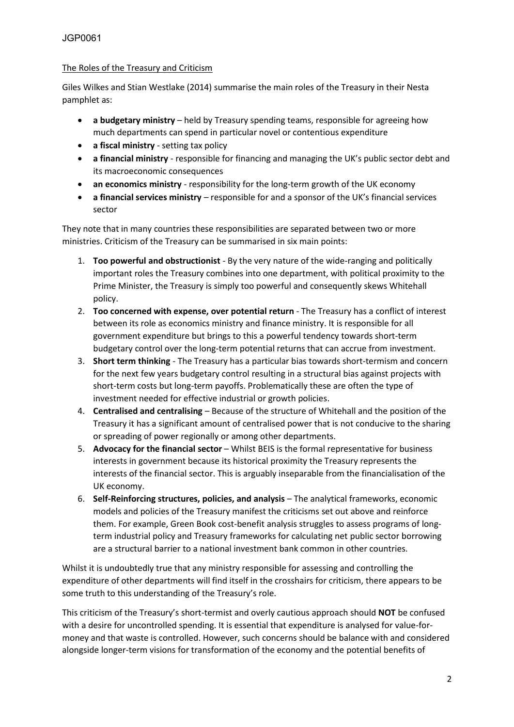#### The Roles of the Treasury and Criticism

Giles Wilkes and Stian Westlake (2014) summarise the main roles of the Treasury in their Nesta pamphlet as:

- **a budgetary ministry** held by Treasury spending teams, responsible for agreeing how much departments can spend in particular novel or contentious expenditure
- **a fiscal ministry** setting tax policy
- **a financial ministry** responsible for financing and managing the UK's public sector debt and its macroeconomic consequences
- **an economics ministry** responsibility for the long-term growth of the UK economy
- **a financial services ministry** responsible for and a sponsor of the UK's financial services sector

They note that in many countries these responsibilities are separated between two or more ministries. Criticism of the Treasury can be summarised in six main points:

- 1. **Too powerful and obstructionist** By the very nature of the wide-ranging and politically important roles the Treasury combines into one department, with political proximity to the Prime Minister, the Treasury is simply too powerful and consequently skews Whitehall policy.
- 2. **Too concerned with expense, over potential return** The Treasury has a conflict of interest between its role as economics ministry and finance ministry. It is responsible for all government expenditure but brings to this a powerful tendency towards short-term budgetary control over the long-term potential returns that can accrue from investment.
- 3. **Short term thinking** The Treasury has a particular bias towards short-termism and concern for the next few years budgetary control resulting in a structural bias against projects with short-term costs but long-term payoffs. Problematically these are often the type of investment needed for effective industrial or growth policies.
- 4. **Centralised and centralising** Because of the structure of Whitehall and the position of the Treasury it has a significant amount of centralised power that is not conducive to the sharing or spreading of power regionally or among other departments.
- 5. **Advocacy for the financial sector** Whilst BEIS is the formal representative for business interests in government because its historical proximity the Treasury represents the interests of the financial sector. This is arguably inseparable from the financialisation of the UK economy.
- 6. **Self-Reinforcing structures, policies, and analysis** The analytical frameworks, economic models and policies of the Treasury manifest the criticisms set out above and reinforce them. For example, Green Book cost-benefit analysis struggles to assess programs of longterm industrial policy and Treasury frameworks for calculating net public sector borrowing are a structural barrier to a national investment bank common in other countries.

Whilst it is undoubtedly true that any ministry responsible for assessing and controlling the expenditure of other departments will find itself in the crosshairs for criticism, there appears to be some truth to this understanding of the Treasury's role.

This criticism of the Treasury's short-termist and overly cautious approach should **NOT** be confused with a desire for uncontrolled spending. It is essential that expenditure is analysed for value-formoney and that waste is controlled. However, such concerns should be balance with and considered alongside longer-term visions for transformation of the economy and the potential benefits of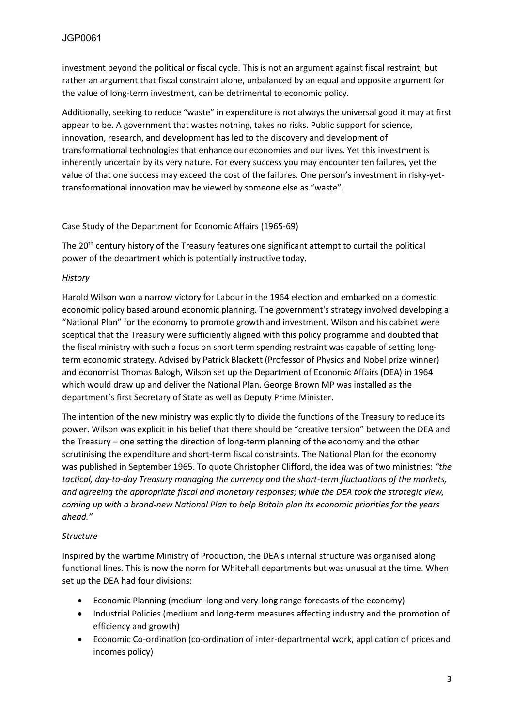investment beyond the political or fiscal cycle. This is not an argument against fiscal restraint, but rather an argument that fiscal constraint alone, unbalanced by an equal and opposite argument for the value of long-term investment, can be detrimental to economic policy.

Additionally, seeking to reduce "waste" in expenditure is not always the universal good it may at first appear to be. A government that wastes nothing, takes no risks. Public support for science, innovation, research, and development has led to the discovery and development of transformational technologies that enhance our economies and our lives. Yet this investment is inherently uncertain by its very nature. For every success you may encounter ten failures, yet the value of that one success may exceed the cost of the failures. One person's investment in risky-yettransformational innovation may be viewed by someone else as "waste".

# Case Study of the Department for Economic Affairs (1965-69)

The 20<sup>th</sup> century history of the Treasury features one significant attempt to curtail the political power of the department which is potentially instructive today.

# *History*

Harold Wilson won a narrow victory for Labour in the 1964 election and embarked on a domestic economic policy based around economic planning. The government's strategy involved developing a "National Plan" for the economy to promote growth and investment. Wilson and his cabinet were sceptical that the Treasury were sufficiently aligned with this policy programme and doubted that the fiscal ministry with such a focus on short term spending restraint was capable of setting longterm economic strategy. Advised by Patrick Blackett (Professor of Physics and Nobel prize winner) and economist Thomas Balogh, Wilson set up the Department of Economic Affairs (DEA) in 1964 which would draw up and deliver the National Plan. George Brown MP was installed as the department's first Secretary of State as well as Deputy Prime Minister.

The intention of the new ministry was explicitly to divide the functions of the Treasury to reduce its power. Wilson was explicit in his belief that there should be "creative tension" between the DEA and the Treasury – one setting the direction of long-term planning of the economy and the other scrutinising the expenditure and short-term fiscal constraints. The National Plan for the economy was published in September 1965. To quote Christopher Clifford, the idea was of two ministries: *"the tactical, day-to-day Treasury managing the currency and the short-term fluctuations of the markets, and agreeing the appropriate fiscal and monetary responses; while the DEA took the strategic view, coming up with a brand-new National Plan to help Britain plan its economic priorities for the years ahead."*

# *Structure*

Inspired by the wartime Ministry of Production, the DEA's internal structure was organised along functional lines. This is now the norm for Whitehall departments but was unusual at the time. When set up the DEA had four divisions:

- Economic Planning (medium-long and very-long range forecasts of the economy)
- Industrial Policies (medium and long-term measures affecting industry and the promotion of efficiency and growth)
- Economic Co-ordination (co-ordination of inter-departmental work, application of prices and incomes policy)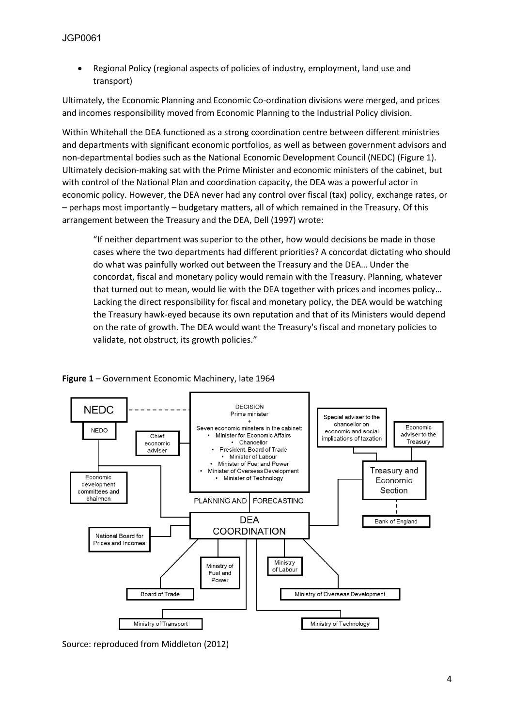• Regional Policy (regional aspects of policies of industry, employment, land use and transport)

Ultimately, the Economic Planning and Economic Co-ordination divisions were merged, and prices and incomes responsibility moved from Economic Planning to the Industrial Policy division.

Within Whitehall the DEA functioned as a strong coordination centre between different ministries and departments with significant economic portfolios, as well as between government advisors and non-departmental bodies such as the National Economic Development Council (NEDC) (Figure 1). Ultimately decision-making sat with the Prime Minister and economic ministers of the cabinet, but with control of the National Plan and coordination capacity, the DEA was a powerful actor in economic policy. However, the DEA never had any control over fiscal (tax) policy, exchange rates, or – perhaps most importantly – budgetary matters, all of which remained in the Treasury. Of this arrangement between the Treasury and the DEA, Dell (1997) wrote:

"If neither department was superior to the other, how would decisions be made in those cases where the two departments had different priorities? A concordat dictating who should do what was painfully worked out between the Treasury and the DEA… Under the concordat, fiscal and monetary policy would remain with the Treasury. Planning, whatever that turned out to mean, would lie with the DEA together with prices and incomes policy… Lacking the direct responsibility for fiscal and monetary policy, the DEA would be watching the Treasury hawk-eyed because its own reputation and that of its Ministers would depend on the rate of growth. The DEA would want the Treasury's fiscal and monetary policies to validate, not obstruct, its growth policies."

#### **Figure 1** – Government Economic Machinery, late 1964



Source: reproduced from Middleton (2012)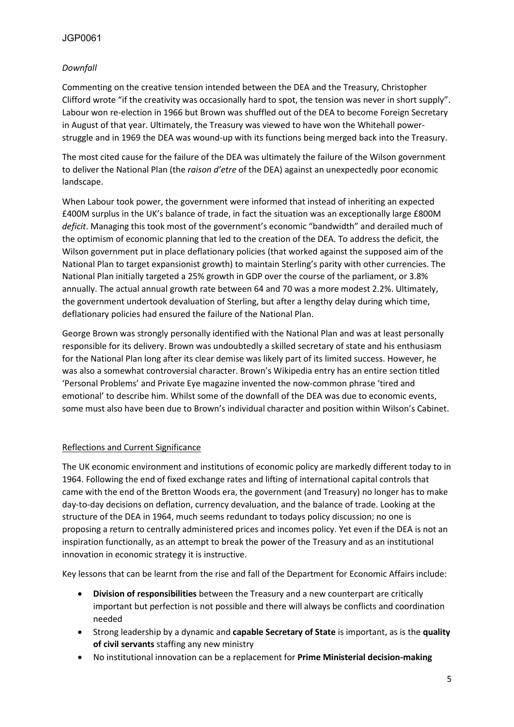# JGP0061

# *Downfall*

Commenting on the creative tension intended between the DEA and the Treasury, Christopher Clifford wrote "if the creativity was occasionally hard to spot, the tension was never in short supply". Labour won re-election in 1966 but Brown was shuffled out of the DEA to become Foreign Secretary in August of that year. Ultimately, the Treasury was viewed to have won the Whitehall powerstruggle and in 1969 the DEA was wound-up with its functions being merged back into the Treasury.

The most cited cause for the failure of the DEA was ultimately the failure of the Wilson government to deliver the National Plan (the *raison d'etre* of the DEA) against an unexpectedly poor economic landscape.

When Labour took power, the government were informed that instead of inheriting an expected £400M surplus in the UK's balance of trade, in fact the situation was an exceptionally large £800M *deficit*. Managing this took most of the government's economic "bandwidth" and derailed much of the optimism of economic planning that led to the creation of the DEA. To address the deficit, the Wilson government put in place deflationary policies (that worked against the supposed aim of the National Plan to target expansionist growth) to maintain Sterling's parity with other currencies. The National Plan initially targeted a 25% growth in GDP over the course of the parliament, or 3.8% annually. The actual annual growth rate between 64 and 70 was a more modest 2.2%. Ultimately, the government undertook devaluation of Sterling, but after a lengthy delay during which time, deflationary policies had ensured the failure of the National Plan.

George Brown was strongly personally identified with the National Plan and was at least personally responsible for its delivery. Brown was undoubtedly a skilled secretary of state and his enthusiasm for the National Plan long after its clear demise was likely part of its limited success. However, he was also a somewhat controversial character. Brown's Wikipedia entry has an entire section titled 'Personal Problems' and Private Eye magazine invented the now-common phrase 'tired and emotional' to describe him. Whilst some of the downfall of the DEA was due to economic events, some must also have been due to Brown's individual character and position within Wilson's Cabinet.

# Reflections and Current Significance

The UK economic environment and institutions of economic policy are markedly different today to in 1964. Following the end of fixed exchange rates and lifting of international capital controls that came with the end of the Bretton Woods era, the government (and Treasury) no longer has to make day-to-day decisions on deflation, currency devaluation, and the balance of trade. Looking at the structure of the DEA in 1964, much seems redundant to todays policy discussion; no one is proposing a return to centrally administered prices and incomes policy. Yet even if the DEA is not an inspiration functionally, as an attempt to break the power of the Treasury and as an institutional innovation in economic strategy it is instructive.

Key lessons that can be learnt from the rise and fall of the Department for Economic Affairs include:

- **Division of responsibilities** between the Treasury and a new counterpart are critically important but perfection is not possible and there will always be conflicts and coordination needed
- Strong leadership by a dynamic and **capable Secretary of State** is important, as is the **quality of civil servants** staffing any new ministry
- No institutional innovation can be a replacement for **Prime Ministerial decision-making**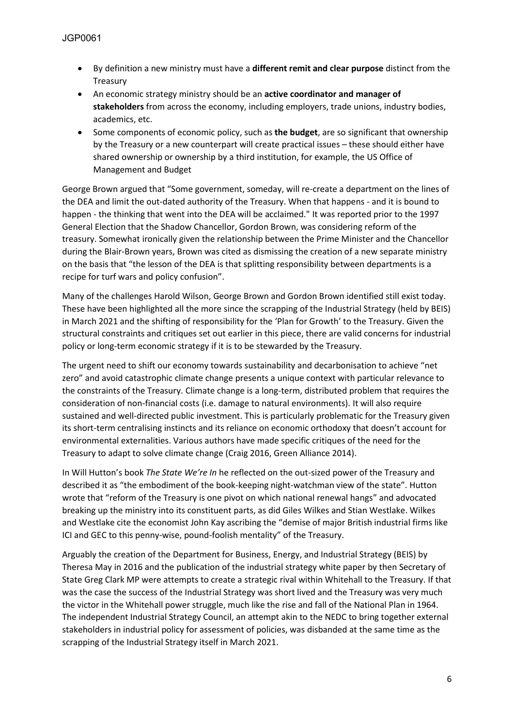- By definition a new ministry must have a **different remit and clear purpose** distinct from the Treasury
- An economic strategy ministry should be an **active coordinator and manager of stakeholders** from across the economy, including employers, trade unions, industry bodies, academics, etc.
- Some components of economic policy, such as **the budget**, are so significant that ownership by the Treasury or a new counterpart will create practical issues – these should either have shared ownership or ownership by a third institution, for example, the US Office of Management and Budget

George Brown argued that "Some government, someday, will re-create a department on the lines of the DEA and limit the out-dated authority of the Treasury. When that happens - and it is bound to happen - the thinking that went into the DEA will be acclaimed." It was reported prior to the 1997 General Election that the Shadow Chancellor, Gordon Brown, was considering reform of the treasury. Somewhat ironically given the relationship between the Prime Minister and the Chancellor during the Blair-Brown years, Brown was cited as dismissing the creation of a new separate ministry on the basis that "the lesson of the DEA is that splitting responsibility between departments is a recipe for turf wars and policy confusion".

Many of the challenges Harold Wilson, George Brown and Gordon Brown identified still exist today. These have been highlighted all the more since the scrapping of the Industrial Strategy (held by BEIS) in March 2021 and the shifting of responsibility for the 'Plan for Growth' to the Treasury. Given the structural constraints and critiques set out earlier in this piece, there are valid concerns for industrial policy or long-term economic strategy if it is to be stewarded by the Treasury.

The urgent need to shift our economy towards sustainability and decarbonisation to achieve "net zero" and avoid catastrophic climate change presents a unique context with particular relevance to the constraints of the Treasury. Climate change is a long-term, distributed problem that requires the consideration of non-financial costs (i.e. damage to natural environments). It will also require sustained and well-directed public investment. This is particularly problematic for the Treasury given its short-term centralising instincts and its reliance on economic orthodoxy that doesn't account for environmental externalities. Various authors have made specific critiques of the need for the Treasury to adapt to solve climate change (Craig 2016, Green Alliance 2014).

In Will Hutton's book *The State We're In* he reflected on the out-sized power of the Treasury and described it as "the embodiment of the book-keeping night-watchman view of the state". Hutton wrote that "reform of the Treasury is one pivot on which national renewal hangs" and advocated breaking up the ministry into its constituent parts, as did Giles Wilkes and Stian Westlake. Wilkes and Westlake cite the economist John Kay ascribing the "demise of major British industrial firms like ICI and GEC to this penny-wise, pound-foolish mentality" of the Treasury.

Arguably the creation of the Department for Business, Energy, and Industrial Strategy (BEIS) by Theresa May in 2016 and the publication of the industrial strategy white paper by then Secretary of State Greg Clark MP were attempts to create a strategic rival within Whitehall to the Treasury. If that was the case the success of the Industrial Strategy was short lived and the Treasury was very much the victor in the Whitehall power struggle, much like the rise and fall of the National Plan in 1964. The independent Industrial Strategy Council, an attempt akin to the NEDC to bring together external stakeholders in industrial policy for assessment of policies, was disbanded at the same time as the scrapping of the Industrial Strategy itself in March 2021.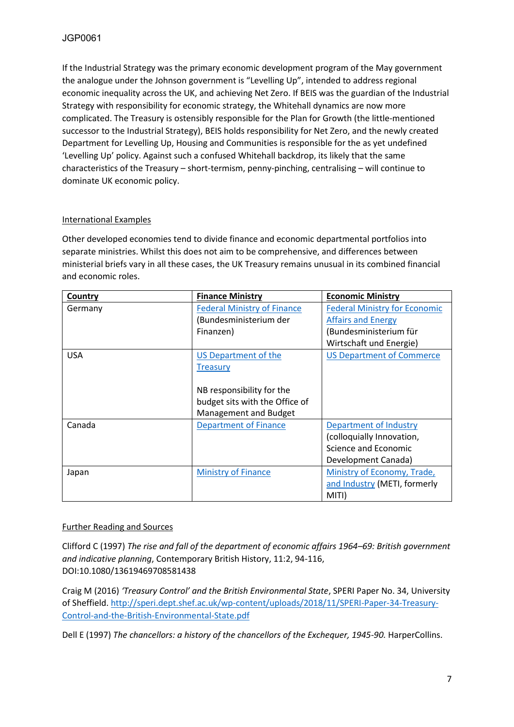If the Industrial Strategy was the primary economic development program of the May government the analogue under the Johnson government is "Levelling Up", intended to address regional economic inequality across the UK, and achieving Net Zero. If BEIS was the guardian of the Industrial Strategy with responsibility for economic strategy, the Whitehall dynamics are now more complicated. The Treasury is ostensibly responsible for the Plan for Growth (the little-mentioned successor to the Industrial Strategy), BEIS holds responsibility for Net Zero, and the newly created Department for Levelling Up, Housing and Communities is responsible for the as yet undefined 'Levelling Up' policy. Against such a confused Whitehall backdrop, its likely that the same characteristics of the Treasury – short-termism, penny-pinching, centralising – will continue to dominate UK economic policy.

# International Examples

Other developed economies tend to divide finance and economic departmental portfolios into separate ministries. Whilst this does not aim to be comprehensive, and differences between ministerial briefs vary in all these cases, the UK Treasury remains unusual in its combined financial and economic roles.

| Country    | <b>Finance Ministry</b>            | <b>Economic Ministry</b>             |
|------------|------------------------------------|--------------------------------------|
| Germany    | <b>Federal Ministry of Finance</b> | <b>Federal Ministry for Economic</b> |
|            | (Bundesministerium der             | <b>Affairs and Energy</b>            |
|            | Finanzen)                          | (Bundesministerium für               |
|            |                                    | Wirtschaft und Energie)              |
| <b>USA</b> | US Department of the               | <b>US Department of Commerce</b>     |
|            | <b>Treasury</b>                    |                                      |
|            |                                    |                                      |
|            | NB responsibility for the          |                                      |
|            | budget sits with the Office of     |                                      |
|            | Management and Budget              |                                      |
| Canada     | <b>Department of Finance</b>       | Department of Industry               |
|            |                                    | (colloquially Innovation,            |
|            |                                    | Science and Economic                 |
|            |                                    | Development Canada)                  |
| Japan      | <b>Ministry of Finance</b>         | Ministry of Economy, Trade,          |
|            |                                    | and Industry (METI, formerly         |
|            |                                    | MITI)                                |

# Further Reading and Sources

Clifford C (1997) *The rise and fall of the department of economic affairs 1964–69: British government and indicative planning*, Contemporary British History, 11:2, 94-116, DOI:10.1080/13619469708581438

Craig M (2016) *'Treasury Control' and the British Environmental State*, SPERI Paper No. 34, University of Sheffield. [http://speri.dept.shef.ac.uk/wp-content/uploads/2018/11/SPERI-Paper-34-Treasury-](http://speri.dept.shef.ac.uk/wp-content/uploads/2018/11/SPERI-Paper-34-Treasury-Control-and-the-British-Environmental-State.pdf)[Control-and-the-British-Environmental-State.pdf](http://speri.dept.shef.ac.uk/wp-content/uploads/2018/11/SPERI-Paper-34-Treasury-Control-and-the-British-Environmental-State.pdf)

Dell E (1997) *The chancellors: a history of the chancellors of the Exchequer, 1945-90.* HarperCollins.